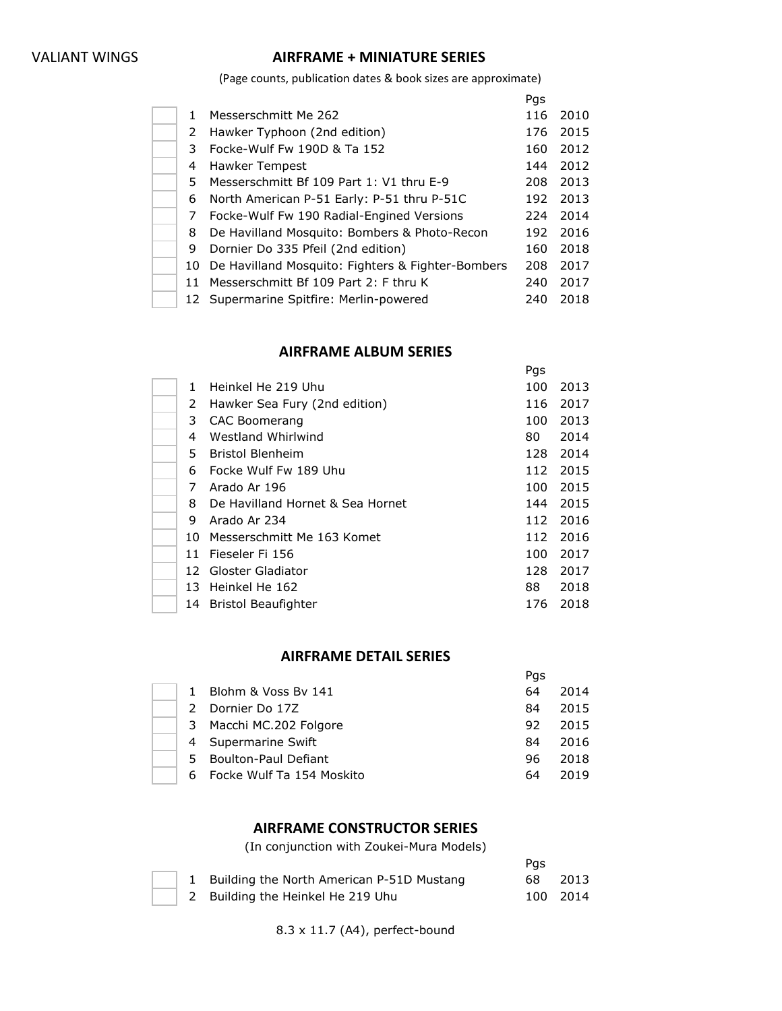# VALIANT WINGS **AIRFRAME + MINIATURE SERIES**

(Page counts, publication dates & book sizes are approximate)

|    |                                                   | Pgs |      |
|----|---------------------------------------------------|-----|------|
| 1. | Messerschmitt Me 262                              | 116 | 2010 |
| 2  | Hawker Typhoon (2nd edition)                      | 176 | 2015 |
| 3. | Focke-Wulf Fw 190D & Ta 152                       | 160 | 2012 |
| 4  | Hawker Tempest                                    | 144 | 2012 |
| 5. | Messerschmitt Bf 109 Part 1: V1 thru E-9          | 208 | 2013 |
| 6  | North American P-51 Early: P-51 thru P-51C        | 192 | 2013 |
| 7  | Focke-Wulf Fw 190 Radial-Engined Versions         | 224 | 2014 |
| 8  | De Havilland Mosquito: Bombers & Photo-Recon      | 192 | 2016 |
| 9  | Dornier Do 335 Pfeil (2nd edition)                | 160 | 2018 |
| 10 | De Havilland Mosquito: Fighters & Fighter-Bombers | 208 | 2017 |
| 11 | Messerschmitt Bf 109 Part 2: F thru K             | 240 | 2017 |
|    | 12 Supermarine Spitfire: Merlin-powered           | 240 | 2018 |

# **AIRFRAME ALBUM SERIES**

|              |                                  | Pgs |      |
|--------------|----------------------------------|-----|------|
| 1            | Heinkel He 219 Uhu               | 100 | 2013 |
| 2            | Hawker Sea Fury (2nd edition)    | 116 | 2017 |
| 3            | <b>CAC Boomerang</b>             | 100 | 2013 |
| 4            | Westland Whirlwind               | 80  | 2014 |
| 5.           | <b>Bristol Blenheim</b>          | 128 | 2014 |
| 6            | Focke Wulf Fw 189 Uhu            | 112 | 2015 |
| 7            | Arado Ar 196                     | 100 | 2015 |
| 8            | De Havilland Hornet & Sea Hornet | 144 | 2015 |
| 9            | Arado Ar 234                     | 112 | 2016 |
| $10^{\circ}$ | Messerschmitt Me 163 Komet       | 112 | 2016 |
| 11           | Fieseler Fi 156                  | 100 | 2017 |
| 12           | Gloster Gladiator                | 128 | 2017 |
| 13           | Heinkel He 162                   | 88  | 2018 |
| 14           | Bristol Beaufighter              | 176 | 2018 |

# **AIRFRAME DETAIL SERIES**

|    |                           | Pas |      |
|----|---------------------------|-----|------|
|    | Blohm & Voss By 141       | 64  | 2014 |
|    | Dornier Do 17Z            | 84  | 2015 |
| 3  | Macchi MC.202 Folgore     | 92  | 2015 |
| 4  | Supermarine Swift         | 84  | 2016 |
| 5  | Boulton-Paul Defiant      | 96  | 2018 |
| 6. | Focke Wulf Ta 154 Moskito | 64  | 2019 |

#### **AIRFRAME CONSTRUCTOR SERIES**

(In conjunction with Zoukei-Mura Models)

|  |                                             | Pas  |          |
|--|---------------------------------------------|------|----------|
|  | 1 Building the North American P-51D Mustang | 68 — | 2013     |
|  | 2 Building the Heinkel He 219 Uhu           |      | 100 2014 |

8.3 x 11.7 (A4), perfect-bound